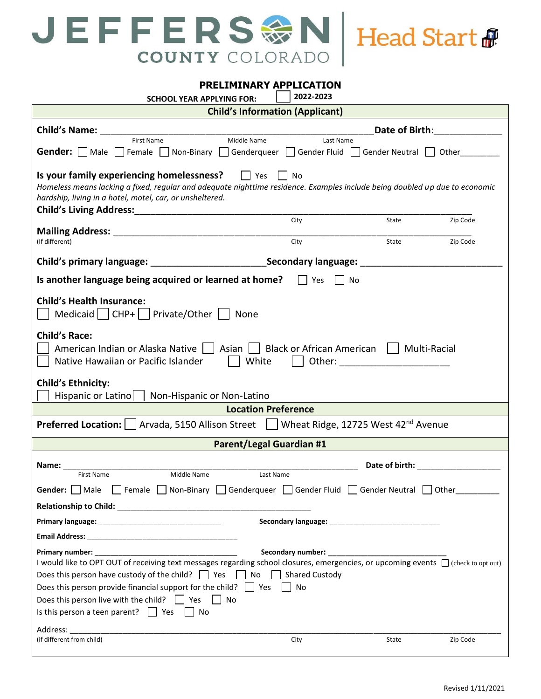

**PRELIMINARY APPLICATION**

| <b>SCHOOL YEAR APPLYING FOR:</b>                                                                                                                                                                                                                                                                                                                                                                                                                                                            | 2022-2023                              |                                                   |                      |  |
|---------------------------------------------------------------------------------------------------------------------------------------------------------------------------------------------------------------------------------------------------------------------------------------------------------------------------------------------------------------------------------------------------------------------------------------------------------------------------------------------|----------------------------------------|---------------------------------------------------|----------------------|--|
|                                                                                                                                                                                                                                                                                                                                                                                                                                                                                             | <b>Child's Information (Applicant)</b> |                                                   |                      |  |
| <b>Child's Name:</b>                                                                                                                                                                                                                                                                                                                                                                                                                                                                        |                                        | Date of Birth:                                    |                      |  |
| <b>First Name</b><br>Middle Name<br><b>Gender:</b>   Male   Female   Non-Binary   Genderqueer   Gender Fluid   Gender Neutral   Other                                                                                                                                                                                                                                                                                                                                                       | Last Name                              |                                                   |                      |  |
| Is your family experiencing homelessness? $\Box$ Yes $\Box$ No<br>Homeless means lacking a fixed, regular and adequate nighttime residence. Examples include being doubled up due to economic<br>hardship, living in a hotel, motel, car, or unsheltered.<br>Child's Living Address: Manual Address: All Annual Address: All Annual Address: All Annual Address: All Annual Address: All Annual Address: All Annual Address: All Annual Address: All Annual Address: All Annual Address: Al |                                        |                                                   |                      |  |
| (If different)                                                                                                                                                                                                                                                                                                                                                                                                                                                                              | City<br>City                           | State<br>State                                    | Zip Code<br>Zip Code |  |
| Child's primary language: ________________________________Secondary language: ______________                                                                                                                                                                                                                                                                                                                                                                                                |                                        |                                                   |                      |  |
| Is another language being acquired or learned at home?                                                                                                                                                                                                                                                                                                                                                                                                                                      | <b>Nes</b><br>l No                     |                                                   |                      |  |
| <b>Child's Health Insurance:</b><br>Medicaid   CHP+     Private/Other    <br>None                                                                                                                                                                                                                                                                                                                                                                                                           |                                        |                                                   |                      |  |
| <b>Child's Race:</b><br>American Indian or Alaska Native     Asian     Black or African American    <br>Native Hawaiian or Pacific Islander<br>White                                                                                                                                                                                                                                                                                                                                        |                                        | Multi-Racial<br>Other: __________________________ |                      |  |
| <b>Child's Ethnicity:</b><br>Hispanic or Latino<br>Non-Hispanic or Non-Latino                                                                                                                                                                                                                                                                                                                                                                                                               |                                        |                                                   |                      |  |
|                                                                                                                                                                                                                                                                                                                                                                                                                                                                                             | <b>Location Preference</b>             |                                                   |                      |  |
| <b>Preferred Location:</b>   Arvada, 5150 Allison Street     Wheat Ridge, 12725 West 42 <sup>nd</sup> Avenue                                                                                                                                                                                                                                                                                                                                                                                |                                        |                                                   |                      |  |
|                                                                                                                                                                                                                                                                                                                                                                                                                                                                                             | <b>Parent/Legal Guardian #1</b>        |                                                   |                      |  |
| Name:<br>First Name<br>Middle Name<br>Gender: Male Female Non-Binary Genderqueer Gender Fluid Gender Neutral Other                                                                                                                                                                                                                                                                                                                                                                          | Last Name                              |                                                   |                      |  |
|                                                                                                                                                                                                                                                                                                                                                                                                                                                                                             |                                        |                                                   |                      |  |
|                                                                                                                                                                                                                                                                                                                                                                                                                                                                                             |                                        |                                                   |                      |  |
| I would like to OPT OUT of receiving text messages regarding school closures, emergencies, or upcoming events □ (check to opt out)<br>Does this person have custody of the child?   Yes   No   Shared Custody<br>Does this person provide financial support for the child? $\Box$ Yes $\Box$<br>No<br>Does this person live with the child? $\Box$ Yes $\Box$ No<br>Is this person a teen parent? $\Box$ Yes $\Box$ No<br>Address:                                                          |                                        |                                                   |                      |  |
| (if different from child)                                                                                                                                                                                                                                                                                                                                                                                                                                                                   | City                                   | State                                             | Zip Code             |  |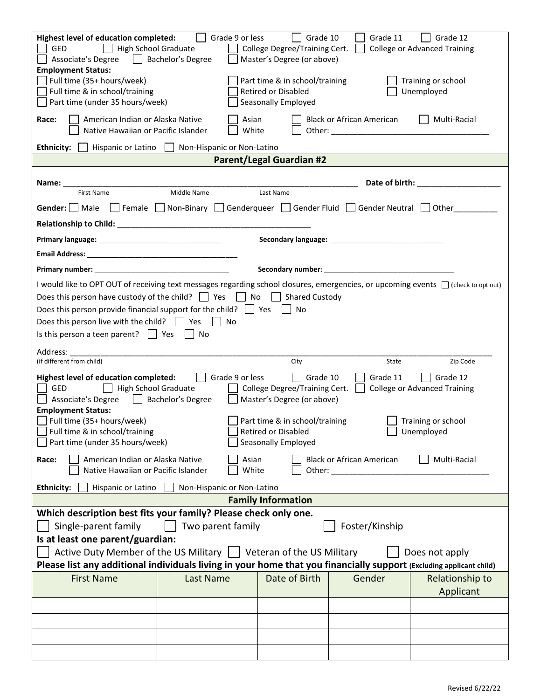| <b>Highest level of education completed:</b><br>Grade 9 or less<br>Grade 12<br>Grade 10<br>Grade 11<br>High School Graduate<br>GED<br>College Degree/Training Cert.<br><b>College or Advanced Training</b><br>Bachelor's Degree<br>Master's Degree (or above)<br>Associate's Degree<br><b>Employment Status:</b> |                                                                                                                  |                                 |                           |                 |
|------------------------------------------------------------------------------------------------------------------------------------------------------------------------------------------------------------------------------------------------------------------------------------------------------------------|------------------------------------------------------------------------------------------------------------------|---------------------------------|---------------------------|-----------------|
| Full time $(35+ hours/week)$<br>Full time & in school/training<br>Part time (under 35 hours/week)                                                                                                                                                                                                                | Part time & in school/training<br>Training or school<br>Retired or Disabled<br>Unemployed<br>Seasonally Employed |                                 |                           |                 |
| Race:<br>American Indian or Alaska Native<br>Native Hawaiian or Pacific Islander                                                                                                                                                                                                                                 | Asian<br>White                                                                                                   |                                 | Black or African American | Multi-Racial    |
| Ethnicity:<br>Hispanic or Latino                                                                                                                                                                                                                                                                                 | Non-Hispanic or Non-Latino                                                                                       |                                 |                           |                 |
|                                                                                                                                                                                                                                                                                                                  |                                                                                                                  | <b>Parent/Legal Guardian #2</b> |                           |                 |
| Name:<br><b>First Name</b>                                                                                                                                                                                                                                                                                       | Middle Name                                                                                                      | Last Name                       | Date of birth:            |                 |
| Gender:   Male   Female   Non-Binary   Genderqueer   Gender Fluid   Gender Neutral   Other                                                                                                                                                                                                                       |                                                                                                                  |                                 |                           |                 |
|                                                                                                                                                                                                                                                                                                                  |                                                                                                                  |                                 |                           |                 |
|                                                                                                                                                                                                                                                                                                                  |                                                                                                                  |                                 |                           |                 |
|                                                                                                                                                                                                                                                                                                                  |                                                                                                                  |                                 |                           |                 |
| <b>Primary number:</b> The contract of the contract of the contract of the contract of the contract of the contract of the contract of the contract of the contract of the contract of the contract of the contract of the contract                                                                              |                                                                                                                  |                                 |                           |                 |
| I would like to OPT OUT of receiving text messages regarding school closures, emergencies, or upcoming events □ (check to opt out)                                                                                                                                                                               |                                                                                                                  |                                 |                           |                 |
| Does this person have custody of the child? $\Box$ Yes $\Box$ No $\Box$                                                                                                                                                                                                                                          |                                                                                                                  | <b>Shared Custody</b>           |                           |                 |
| Does this person provide financial support for the child? $\Box$ Yes                                                                                                                                                                                                                                             |                                                                                                                  | l No                            |                           |                 |
| Does this person live with the child? $\Box$ Yes $\Box$ No                                                                                                                                                                                                                                                       |                                                                                                                  |                                 |                           |                 |
| Is this person a teen parent? $\Box$ Yes $\Box$ No                                                                                                                                                                                                                                                               |                                                                                                                  |                                 |                           |                 |
| Address:<br>(if different from child)                                                                                                                                                                                                                                                                            |                                                                                                                  | City                            | State                     | Zip Code        |
| Highest level of education completed:<br>Grade 9 or less<br>$\vert$ Grade 10<br>Grade 11<br>Grade 12<br>High School Graduate<br>GED<br>College Degree/Training Cert.<br><b>College or Advanced Training</b><br>Associate's Degree Bachelor's Degree<br>Master's Degree (or above)                                |                                                                                                                  |                                 |                           |                 |
| <b>Employment Status:</b><br>Full time (35+ hours/week)<br>Part time & in school/training<br>Training or school<br>Full time & in school/training<br>Retired or Disabled<br>Unemployed<br>Part time (under 35 hours/week)<br>Seasonally Employed                                                                 |                                                                                                                  |                                 |                           |                 |
| Multi-Racial<br>American Indian or Alaska Native<br><b>Black or African American</b><br>Asian<br>Race:<br>Native Hawaiian or Pacific Islander<br>White<br>Other: and the contract of the contract of the contract of the contract of the contract of the contract of the                                         |                                                                                                                  |                                 |                           |                 |
| Non-Hispanic or Non-Latino<br><b>Ethnicity:</b><br>Hispanic or Latino                                                                                                                                                                                                                                            |                                                                                                                  |                                 |                           |                 |
| <b>Family Information</b>                                                                                                                                                                                                                                                                                        |                                                                                                                  |                                 |                           |                 |
| Which description best fits your family? Please check only one.                                                                                                                                                                                                                                                  |                                                                                                                  |                                 |                           |                 |
| Foster/Kinship<br>Single-parent family<br>Two parent family                                                                                                                                                                                                                                                      |                                                                                                                  |                                 |                           |                 |
| Is at least one parent/guardian:                                                                                                                                                                                                                                                                                 |                                                                                                                  |                                 |                           |                 |
| Active Duty Member of the US Military $\parallel$ Veteran of the US Military<br>Does not apply<br>Please list any additional individuals living in your home that you financially support (Excluding applicant child)                                                                                            |                                                                                                                  |                                 |                           |                 |
| <b>First Name</b>                                                                                                                                                                                                                                                                                                | Last Name                                                                                                        | Date of Birth                   | Gender                    | Relationship to |
|                                                                                                                                                                                                                                                                                                                  |                                                                                                                  |                                 |                           | Applicant       |
|                                                                                                                                                                                                                                                                                                                  |                                                                                                                  |                                 |                           |                 |
|                                                                                                                                                                                                                                                                                                                  |                                                                                                                  |                                 |                           |                 |
|                                                                                                                                                                                                                                                                                                                  |                                                                                                                  |                                 |                           |                 |
|                                                                                                                                                                                                                                                                                                                  |                                                                                                                  |                                 |                           |                 |